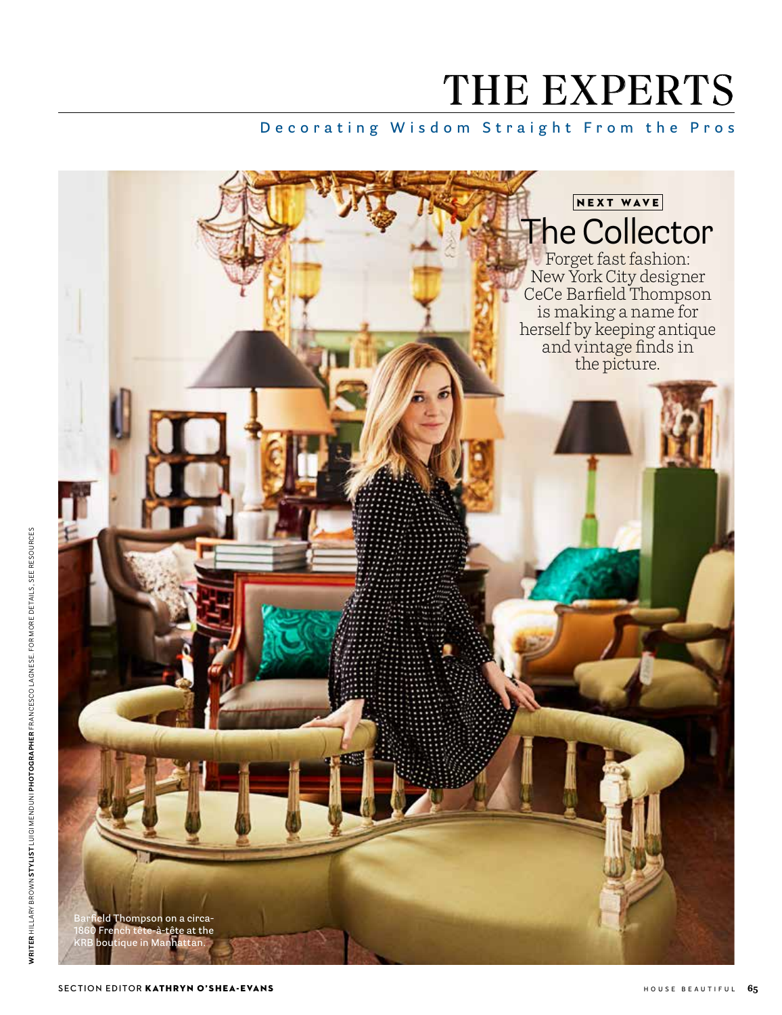# THE EXPERTS

### **Decorating Wisdom Straight From the Pros**